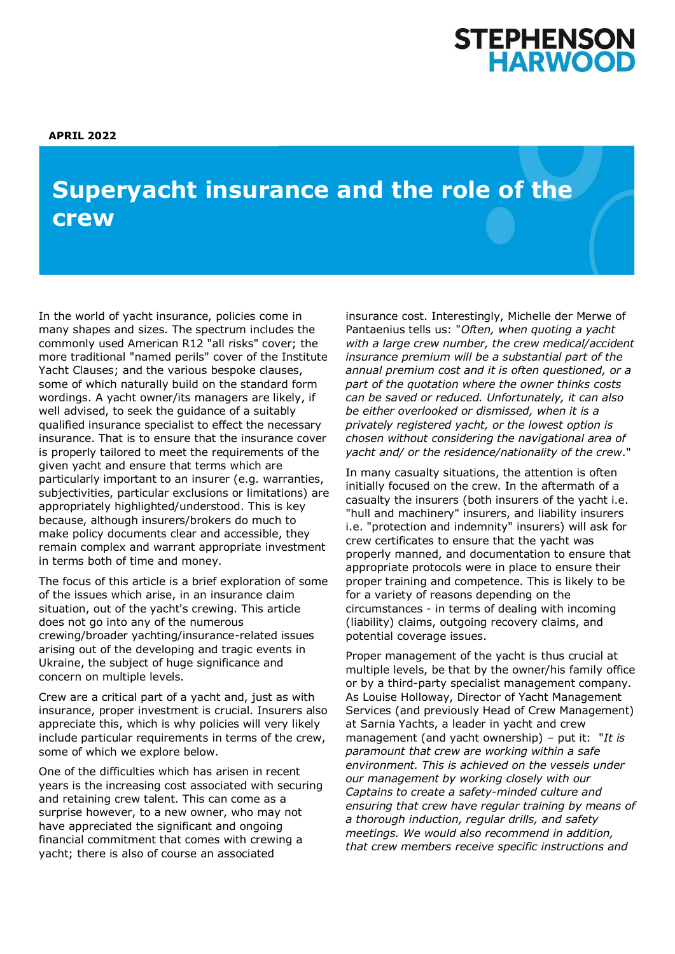# STEPHENSON<br>HARWOOD

# **Superyacht insurance and the role of the know about the Corporate Insolvency and crew**

In the world of yacht insurance, policies come in many shapes and sizes. The spectrum includes the commonly used American R12 "all risks" cover; the more traditional "named perils" cover of the Institute Yacht Clauses; and the various bespoke clauses, some of which naturally build on the standard form wordings. A yacht owner/its managers are likely, if well advised, to seek the guidance of a suitably qualified insurance specialist to effect the necessary insurance. That is to ensure that the insurance cover is properly tailored to meet the requirements of the given yacht and ensure that terms which are particularly important to an insurer (e.g. warranties, subjectivities, particular exclusions or limitations) are appropriately highlighted/understood. This is key because, although insurers/brokers do much to make policy documents clear and accessible, they remain complex and warrant appropriate investment in terms both of time and money.

The focus of this article is a brief exploration of some of the issues which arise, in an insurance claim situation, out of the yacht's crewing. This article does not go into any of the numerous crewing/broader yachting/insurance-related issues arising out of the developing and tragic events in Ukraine, the subject of huge significance and concern on multiple levels.

Crew are a critical part of a yacht and, just as with insurance, proper investment is crucial. Insurers also appreciate this, which is why policies will very likely include particular requirements in terms of the crew, some of which we explore below.

One of the difficulties which has arisen in recent years is the increasing cost associated with securing and retaining crew talent. This can come as a surprise however, to a new owner, who may not have appreciated the significant and ongoing financial commitment that comes with crewing a yacht; there is also of course an associated

insurance cost. Interestingly, Michelle der Merwe of Pantaenius tells us: "*Often, when quoting a yacht with a large crew number, the crew medical/accident insurance premium will be a substantial part of the annual premium cost and it is often questioned, or a part of the quotation where the owner thinks costs can be saved or reduced. Unfortunately, it can also be either overlooked or dismissed, when it is a privately registered yacht, or the lowest option is chosen without considering the navigational area of yacht and/ or the residence/nationality of the crew*."

In many casualty situations, the attention is often initially focused on the crew. In the aftermath of a casualty the insurers (both insurers of the yacht i.e. "hull and machinery" insurers, and liability insurers i.e. "protection and indemnity" insurers) will ask for crew certificates to ensure that the yacht was properly manned, and documentation to ensure that appropriate protocols were in place to ensure their proper training and competence. This is likely to be for a variety of reasons depending on the circumstances - in terms of dealing with incoming (liability) claims, outgoing recovery claims, and potential coverage issues.

Proper management of the yacht is thus crucial at multiple levels, be that by the owner/his family office or by a third-party specialist management company. As Louise Holloway, Director of Yacht Management Services (and previously Head of Crew Management) at Sarnia Yachts, a leader in yacht and crew management (and yacht ownership) – put it: "*It is paramount that crew are working within a safe environment. This is achieved on the vessels under our management by working closely with our Captains to create a safety-minded culture and ensuring that crew have regular training by means of a thorough induction, regular drills, and safety meetings. We would also recommend in addition, that crew members receive specific instructions and*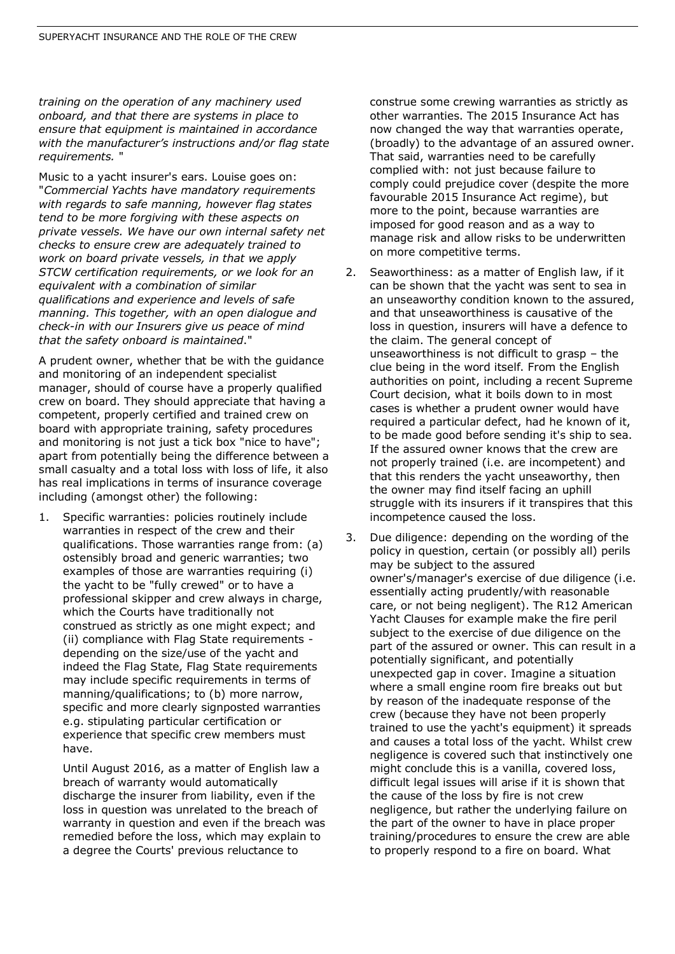*training on the operation of any machinery used onboard, and that there are systems in place to ensure that equipment is maintained in accordance with the manufacturer's instructions and/or flag state requirements.* "

Music to a yacht insurer's ears. Louise goes on: "*Commercial Yachts have mandatory requirements with regards to safe manning, however flag states tend to be more forgiving with these aspects on private vessels. We have our own internal safety net checks to ensure crew are adequately trained to work on board private vessels, in that we apply STCW certification requirements, or we look for an equivalent with a combination of similar qualifications and experience and levels of safe manning. This together, with an open dialogue and check-in with our Insurers give us peace of mind that the safety onboard is maintained*."

A prudent owner, whether that be with the guidance and monitoring of an independent specialist manager, should of course have a properly qualified crew on board. They should appreciate that having a competent, properly certified and trained crew on board with appropriate training, safety procedures and monitoring is not just a tick box "nice to have"; apart from potentially being the difference between a small casualty and a total loss with loss of life, it also has real implications in terms of insurance coverage including (amongst other) the following:

1. Specific warranties: policies routinely include warranties in respect of the crew and their qualifications. Those warranties range from: (a) ostensibly broad and generic warranties; two examples of those are warranties requiring (i) the yacht to be "fully crewed" or to have a professional skipper and crew always in charge, which the Courts have traditionally not construed as strictly as one might expect; and (ii) compliance with Flag State requirements depending on the size/use of the yacht and indeed the Flag State, Flag State requirements may include specific requirements in terms of manning/qualifications; to (b) more narrow, specific and more clearly signposted warranties e.g. stipulating particular certification or experience that specific crew members must have.

Until August 2016, as a matter of English law a breach of warranty would automatically discharge the insurer from liability, even if the loss in question was unrelated to the breach of warranty in question and even if the breach was remedied before the loss, which may explain to a degree the Courts' previous reluctance to

construe some crewing warranties as strictly as other warranties. The 2015 Insurance Act has now changed the way that warranties operate, (broadly) to the advantage of an assured owner. That said, warranties need to be carefully complied with: not just because failure to comply could prejudice cover (despite the more favourable 2015 Insurance Act regime), but more to the point, because warranties are imposed for good reason and as a way to manage risk and allow risks to be underwritten on more competitive terms.

- 2. Seaworthiness: as a matter of English law, if it can be shown that the yacht was sent to sea in an unseaworthy condition known to the assured, and that unseaworthiness is causative of the loss in question, insurers will have a defence to the claim. The general concept of unseaworthiness is not difficult to grasp – the clue being in the word itself. From the English authorities on point, including a recent Supreme Court decision, what it boils down to in most cases is whether a prudent owner would have required a particular defect, had he known of it, to be made good before sending it's ship to sea. If the assured owner knows that the crew are not properly trained (i.e. are incompetent) and that this renders the yacht unseaworthy, then the owner may find itself facing an uphill struggle with its insurers if it transpires that this incompetence caused the loss.
- 3. Due diligence: depending on the wording of the policy in question, certain (or possibly all) perils may be subject to the assured owner's/manager's exercise of due diligence (i.e. essentially acting prudently/with reasonable care, or not being negligent). The R12 American Yacht Clauses for example make the fire peril subject to the exercise of due diligence on the part of the assured or owner. This can result in a potentially significant, and potentially unexpected gap in cover. Imagine a situation where a small engine room fire breaks out but by reason of the inadequate response of the crew (because they have not been properly trained to use the yacht's equipment) it spreads and causes a total loss of the yacht. Whilst crew negligence is covered such that instinctively one might conclude this is a vanilla, covered loss, difficult legal issues will arise if it is shown that the cause of the loss by fire is not crew negligence, but rather the underlying failure on the part of the owner to have in place proper training/procedures to ensure the crew are able to properly respond to a fire on board. What